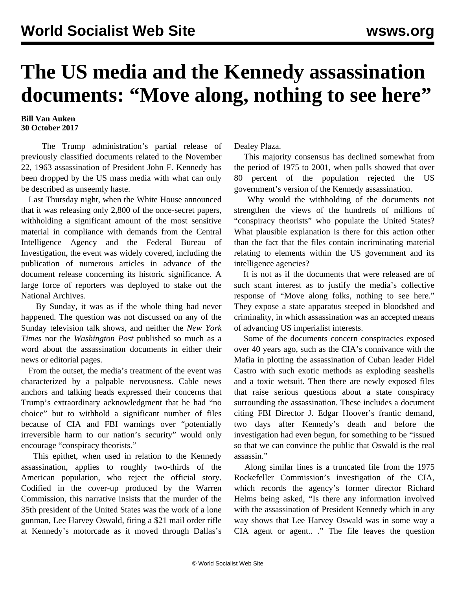## **The US media and the Kennedy assassination documents: "Move along, nothing to see here"**

## **Bill Van Auken 30 October 2017**

 The Trump administration's partial release of previously classified documents related to the November 22, 1963 assassination of President John F. Kennedy has been dropped by the US mass media with what can only be described as unseemly haste.

 Last Thursday night, when the White House announced that it was releasing only 2,800 of the once-secret papers, withholding a significant amount of the most sensitive material in compliance with demands from the Central Intelligence Agency and the Federal Bureau of Investigation, the event was widely covered, including the publication of numerous articles in advance of the document release concerning its historic significance. A large force of reporters was deployed to stake out the National Archives.

 By Sunday, it was as if the whole thing had never happened. The question was not discussed on any of the Sunday television talk shows, and neither the *New York Times* nor the *Washington Post* published so much as a word about the assassination documents in either their news or editorial pages.

 From the outset, the media's treatment of the event was characterized by a palpable nervousness. Cable news anchors and talking heads expressed their concerns that Trump's extraordinary acknowledgment that he had "no choice" but to withhold a significant number of files because of CIA and FBI warnings over "potentially irreversible harm to our nation's security" would only encourage "conspiracy theorists."

 This epithet, when used in relation to the Kennedy assassination, applies to roughly two-thirds of the American population, who reject the official story. Codified in the cover-up produced by the Warren Commission, this narrative insists that the murder of the 35th president of the United States was the work of a lone gunman, Lee Harvey Oswald, firing a \$21 mail order rifle at Kennedy's motorcade as it moved through Dallas's

Dealey Plaza.

 This majority consensus has declined somewhat from the period of 1975 to 2001, when polls showed that over 80 percent of the population rejected the US government's version of the Kennedy assassination.

 Why would the withholding of the documents not strengthen the views of the hundreds of millions of "conspiracy theorists" who populate the United States? What plausible explanation is there for this action other than the fact that the files contain incriminating material relating to elements within the US government and its intelligence agencies?

 It is not as if the documents that were released are of such scant interest as to justify the media's collective response of "Move along folks, nothing to see here." They expose a state apparatus steeped in bloodshed and criminality, in which assassination was an accepted means of advancing US imperialist interests.

 Some of the documents concern conspiracies exposed over 40 years ago, such as the CIA's connivance with the Mafia in plotting the assassination of Cuban leader Fidel Castro with such exotic methods as exploding seashells and a toxic wetsuit. Then there are newly exposed files that raise serious questions about a state conspiracy surrounding the assassination. These includes a document citing FBI Director J. Edgar Hoover's frantic demand, two days after Kennedy's death and before the investigation had even begun, for something to be "issued so that we can convince the public that Oswald is the real assassin."

 Along similar lines is a truncated file from the 1975 Rockefeller Commission's investigation of the CIA, which records the agency's former director Richard Helms being asked, "Is there any information involved with the assassination of President Kennedy which in any way shows that Lee Harvey Oswald was in some way a CIA agent or agent.. ." The file leaves the question